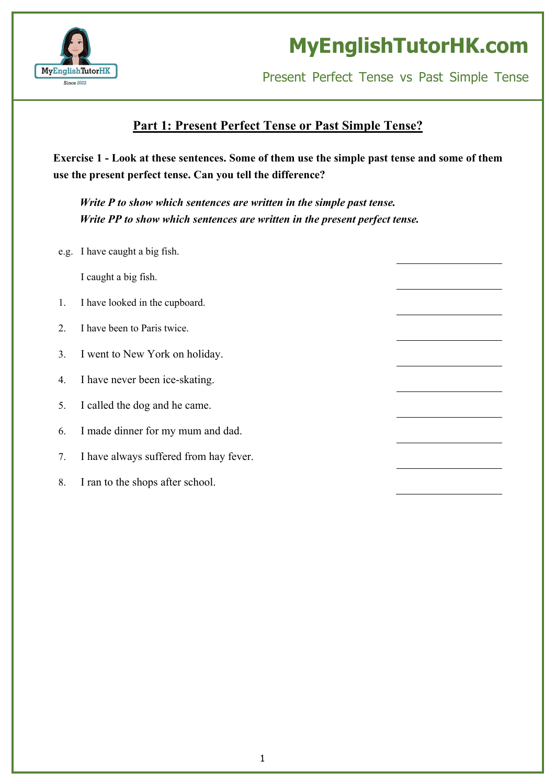

Present Perfect Tense vs Past Simple Tense

### **Part 1: Present Perfect Tense or Past Simple Tense?**

Exercise 1 - Look at these sentences. Some of them use the simple past tense and some of them **use the present perfect tense. Can you tell the difference?**

*Write P to show which sentences are written in the simple past tense. Write PP to show which sentences are written in the present perfect tense.*

e.g. I have caught a big fish.

I caught a big fish.

- 1. I have looked in the cupboard.
- 2. I have been to Paris twice.
- 3. I went to New York on holiday.
- 4. I have never been ice-skating.
- 5. I called the dog and he came.
- 6. I made dinner for my mum and dad.
- 7. I have always suffered from hay fever.
- 8. I ran to the shops after school.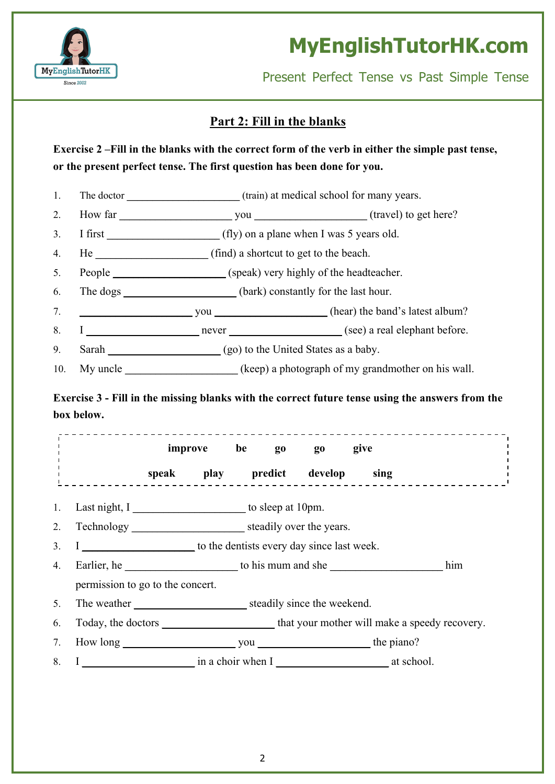

Present Perfect Tense vs Past Simple Tense

### **Part 2: Fill in the blanks**

Exercise 2 – Fill in the blanks with the correct form of the verb in either the simple past tense, **or the present perfect tense. The first question has been done for you.**

- 1. The doctor **\_\_\_\_\_\_\_\_** (train) at medical school for many years.
- 2. How far **of the same of the same of the same of the same of the same of the same of the same of the same of the same of the same of the same of the same of the same of the same of the same of the same of the same of the**
- 3. I first **\_\_\_\_\_\_\_\_\_\_\_\_\_\_\_\_\_\_\_\_\_\_** (fly) on a plane when I was 5 years old.
- 4. He **\_\_\_\_\_\_\_\_\_\_\_\_\_\_\_\_\_\_\_\_\_\_** (find) a shortcut to get to the beach.
- 5. People **\_\_\_\_\_\_\_\_\_\_\_\_\_\_\_\_\_\_\_\_\_\_** (speak) very highly of the headteacher.
- 6. The dogs **back**) constantly for the last hour.
- 7. **\_\_\_\_\_\_\_\_\_\_\_\_\_\_\_\_\_\_\_\_\_\_** you **\_\_\_\_\_\_\_\_\_\_\_\_\_\_\_\_\_\_\_\_\_\_** (hear) the band's latest album?
- 8. I **\_\_\_\_\_\_\_\_\_\_\_\_\_\_\_\_\_\_\_\_\_\_** never **\_\_\_\_\_\_\_\_\_\_\_\_\_\_\_\_\_\_\_\_\_\_** (see) a real elephant before.
- 9. Sarah **\_\_\_\_\_\_\_\_\_\_\_\_\_\_\_\_** (go) to the United States as a baby.
- 10. My uncle **\_\_\_\_\_\_\_\_\_\_\_\_\_\_\_\_\_\_\_\_\_\_** (keep) a photograph of my grandmother on his wall.

**Exercise 3 - Fill in the missing blanks with the correct future tense using the answers from the box below.**

|                | improve be go go                                                                            |  |  |                              |                                                                                                                                                                                                                                       | give |  |
|----------------|---------------------------------------------------------------------------------------------|--|--|------------------------------|---------------------------------------------------------------------------------------------------------------------------------------------------------------------------------------------------------------------------------------|------|--|
|                |                                                                                             |  |  |                              | speak play predict develop sing                                                                                                                                                                                                       |      |  |
| 1.             | Last night, I ____________________________ to sleep at 10pm.                                |  |  |                              |                                                                                                                                                                                                                                       |      |  |
| 2.             |                                                                                             |  |  |                              |                                                                                                                                                                                                                                       |      |  |
| $\mathbf{3}$ . | I ________________________ to the dentists every day since last week.                       |  |  |                              |                                                                                                                                                                                                                                       |      |  |
| 4.             |                                                                                             |  |  |                              | Earlier, he settled to be to be to be to be the set of the set of the set of the set of the set of the set of the set of the set of the set of the set of the set of the set of the set of the set of the set of the set of th<br>him |      |  |
|                | permission to go to the concert.                                                            |  |  |                              |                                                                                                                                                                                                                                       |      |  |
| 5.             |                                                                                             |  |  |                              |                                                                                                                                                                                                                                       |      |  |
| 6.             | Today, the doctors ___________________________that your mother will make a speedy recovery. |  |  |                              |                                                                                                                                                                                                                                       |      |  |
| 7.             |                                                                                             |  |  |                              |                                                                                                                                                                                                                                       |      |  |
| 8.             |                                                                                             |  |  | in a choir when I at school. |                                                                                                                                                                                                                                       |      |  |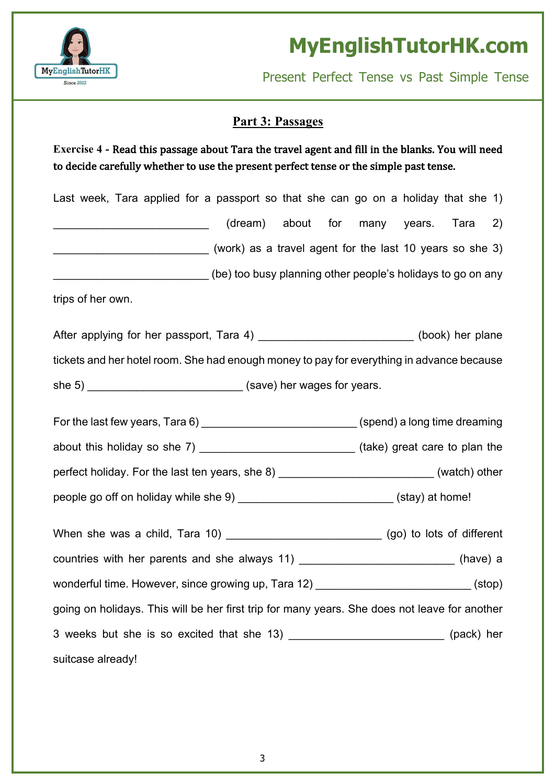

Present Perfect Tense vs Past Simple Tense

### **Part 3: Passages**

### **Exercise** 4 - Read this passage about Tara the travel agent and fill in the blanks. You will need to decide carefully whether to use the present perfect tense or the simple past tense.

Last week, Tara applied for a passport so that she can go on a holiday that she 1)  $(d$ ream) about for many years. Tara 2) \_\_\_\_\_\_\_\_\_\_\_\_\_\_\_\_\_\_\_\_\_\_\_\_\_ (work) as a travel agent for the last 10 years so she 3) \_\_\_\_\_\_\_\_\_\_\_\_\_\_\_\_\_\_\_\_\_\_\_\_\_ (be) too busy planning other people's holidays to go on any trips of her own. After applying for her passport, Tara 4) \_\_\_\_\_\_\_\_\_\_\_\_\_\_\_\_\_\_\_\_\_\_\_\_\_\_\_(book) her plane tickets and her hotel room. She had enough money to pay for everything in advance because she 5) \_\_\_\_\_\_\_\_\_\_\_\_\_\_\_\_\_\_\_\_\_\_\_\_\_\_\_\_\_\_ (save) her wages for years. For the last few years, Tara 6)  $\qquad (spend)$  a long time dreaming about this holiday so she 7) \_\_\_\_\_\_\_\_\_\_\_\_\_\_\_\_\_\_\_\_\_\_\_\_\_\_\_\_\_(take) great care to plan the perfect holiday. For the last ten years, she 8) \_\_\_\_\_\_\_\_\_\_\_\_\_\_\_\_\_\_\_\_\_\_\_\_\_\_\_\_\_(watch) other people go off on holiday while she 9)  $(stay)$  at home! When she was a child, Tara 10) \_\_\_\_\_\_\_\_\_\_\_\_\_\_\_\_\_\_\_\_\_\_\_\_\_\_\_\_\_\_\_(go) to lots of different countries with her parents and she always 11) \_\_\_\_\_\_\_\_\_\_\_\_\_\_\_\_\_\_\_\_\_\_\_\_\_\_\_\_(have) a wonderful time. However, since growing up, Tara 12)  $(stop)$ 

going on holidays. This will be her first trip for many years. She does not leave for another 3 weeks but she is so excited that she 13)  $(pack)$  her

suitcase already!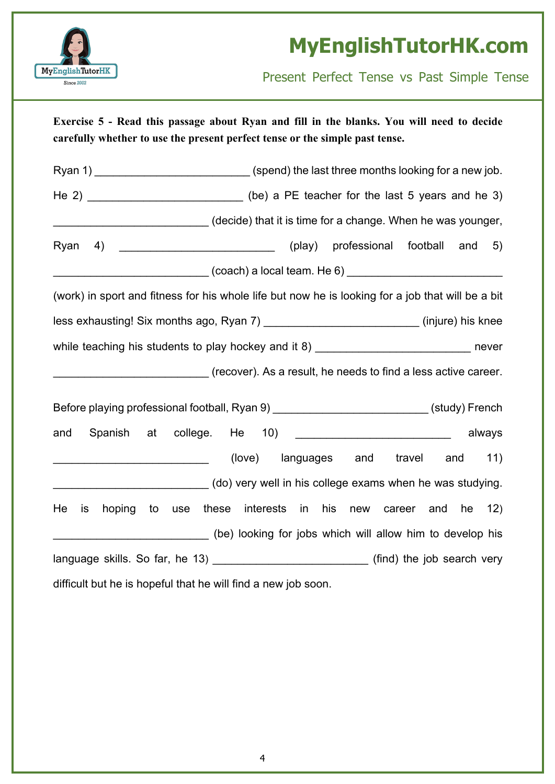

Present Perfect Tense vs Past Simple Tense

**Exercise 5 - Read this passage about Ryan and fill in the blanks. You will need to decide carefully whether to use the present perfect tense or the simple past tense.** Ryan 1) \_\_\_\_\_\_\_\_\_\_\_\_\_\_\_\_\_\_\_\_\_\_\_\_\_\_\_\_\_\_(spend) the last three months looking for a new job. He 2) Let us a PE teacher for the last 5 years and he 3) \_\_\_\_\_\_\_\_\_\_\_\_\_\_\_\_\_\_\_\_\_\_\_\_\_ (decide) that it is time for a change. When he was younger, Ryan 4)  $(play)$  professional football and 5)  $(coach)$  a local team. He 6) (work) in sport and fitness for his whole life but now he is looking for a job that will be a bit less exhausting! Six months ago, Ryan 7) \_\_\_\_\_\_\_\_\_\_\_\_\_\_\_\_\_\_\_\_\_\_\_\_\_ (injure) his knee while teaching his students to play hockey and it 8) \_\_\_\_\_\_\_\_\_\_\_\_\_\_\_\_\_\_\_\_\_\_\_\_\_\_\_\_\_\_\_\_ never \_\_\_\_\_\_\_\_\_\_\_\_\_\_\_\_\_\_\_\_\_\_\_\_\_ (recover). As a result, he needs to find a less active career. Before playing professional football, Ryan 9) \_\_\_\_\_\_\_\_\_\_\_\_\_\_\_\_\_\_\_\_\_\_\_\_\_\_\_\_(study) French and Spanish at college. He 10) and subset always (love) languages and travel and 11) \_\_\_\_\_\_\_\_\_\_\_\_\_\_\_\_\_\_\_\_\_\_\_\_\_ (do) very well in his college exams when he was studying. He is hoping to use these interests in his new career and he 12) (be) looking for jobs which will allow him to develop his language skills. So far, he 13) \_\_\_\_\_\_\_\_\_\_\_\_\_\_\_\_\_\_\_\_\_\_\_\_\_\_(find) the job search very difficult but he is hopeful that he will find a new job soon.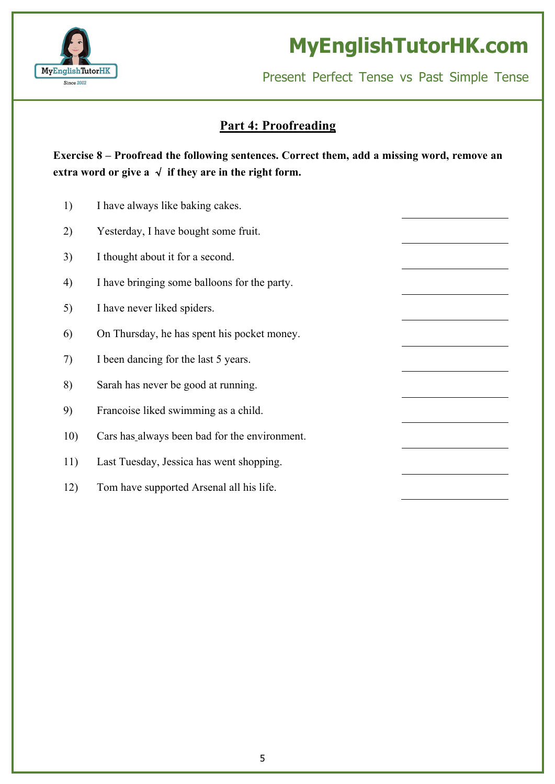

Present Perfect Tense vs Past Simple Tense

#### **Part 4: Proofreading**

**Exercise 8 – Proofread the following sentences. Correct them, add a missing word, remove an extra** word or give  $a \sqrt{f}$  if they are in the right form.

- 1) I have always like baking cakes.
- 2) Yesterday, I have bought some fruit.
- 3) I thought about it for a second.
- 4) I have bringing some balloons for the party.
- 5) I have never liked spiders.
- 6) On Thursday, he has spent his pocket money.
- 7) I been dancing for the last 5 years.
- 8) Sarah has never be good at running.
- 9) Francoise liked swimming as a child.
- 10) Cars has always been bad for the environment.
- 11) Last Tuesday, Jessica has went shopping.
- 12) Tom have supported Arsenal all his life.